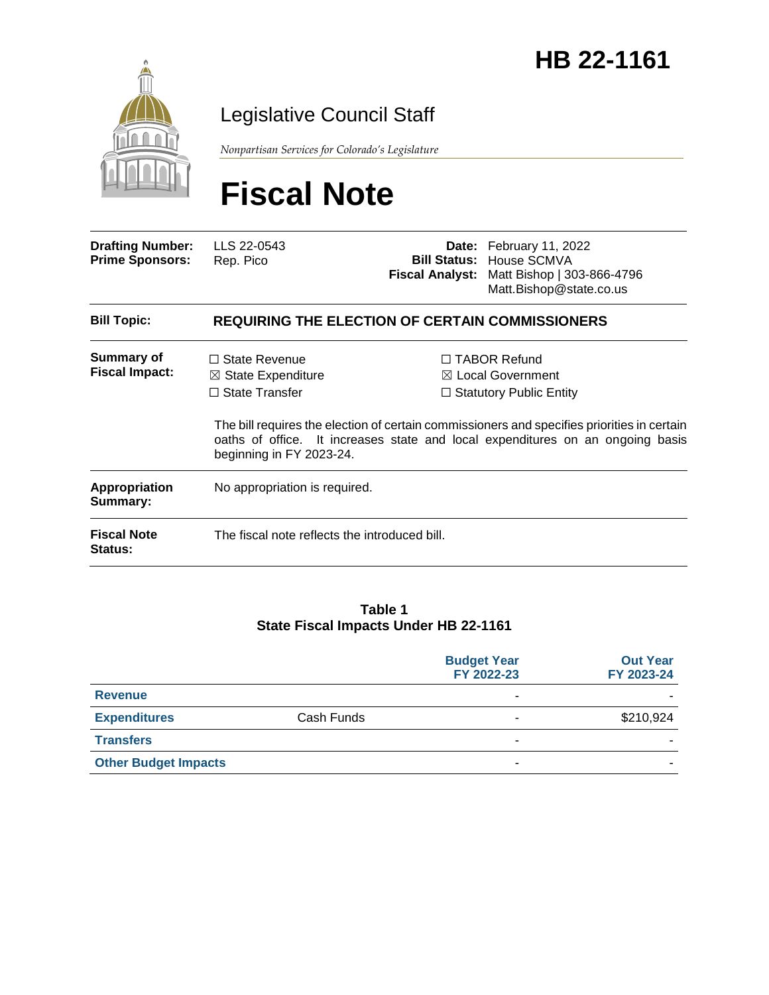# HB 22-1161



### Legislative Council Staff

*Nonpartisan Services for Colorado's Legislature*

# **Fiscal Note**

| <b>Drafting Number:</b><br><b>Prime Sponsors:</b> | LLS 22-0543<br>Rep. Pico                                                                                   |  | Date: February 11, 2022<br><b>Bill Status: House SCMVA</b><br><b>Fiscal Analyst:</b> Matt Bishop   303-866-4796<br>Matt.Bishop@state.co.us                                                                                                                             |  |
|---------------------------------------------------|------------------------------------------------------------------------------------------------------------|--|------------------------------------------------------------------------------------------------------------------------------------------------------------------------------------------------------------------------------------------------------------------------|--|
| <b>Bill Topic:</b>                                | <b>REQUIRING THE ELECTION OF CERTAIN COMMISSIONERS</b>                                                     |  |                                                                                                                                                                                                                                                                        |  |
| <b>Summary of</b><br><b>Fiscal Impact:</b>        | $\Box$ State Revenue<br>$\boxtimes$ State Expenditure<br>$\Box$ State Transfer<br>beginning in FY 2023-24. |  | $\Box$ TABOR Refund<br>$\boxtimes$ Local Government<br>$\Box$ Statutory Public Entity<br>The bill requires the election of certain commissioners and specifies priorities in certain<br>oaths of office. It increases state and local expenditures on an ongoing basis |  |
| <b>Appropriation</b><br>Summary:                  | No appropriation is required.                                                                              |  |                                                                                                                                                                                                                                                                        |  |
| <b>Fiscal Note</b><br><b>Status:</b>              | The fiscal note reflects the introduced bill.                                                              |  |                                                                                                                                                                                                                                                                        |  |

#### **Table 1 State Fiscal Impacts Under HB 22-1161**

|                             |            | <b>Budget Year</b><br>FY 2022-23 | <b>Out Year</b><br>FY 2023-24 |
|-----------------------------|------------|----------------------------------|-------------------------------|
| <b>Revenue</b>              |            | ۰                                |                               |
| <b>Expenditures</b>         | Cash Funds | ۰                                | \$210,924                     |
| <b>Transfers</b>            |            | ۰                                | -                             |
| <b>Other Budget Impacts</b> |            | ۰                                | -                             |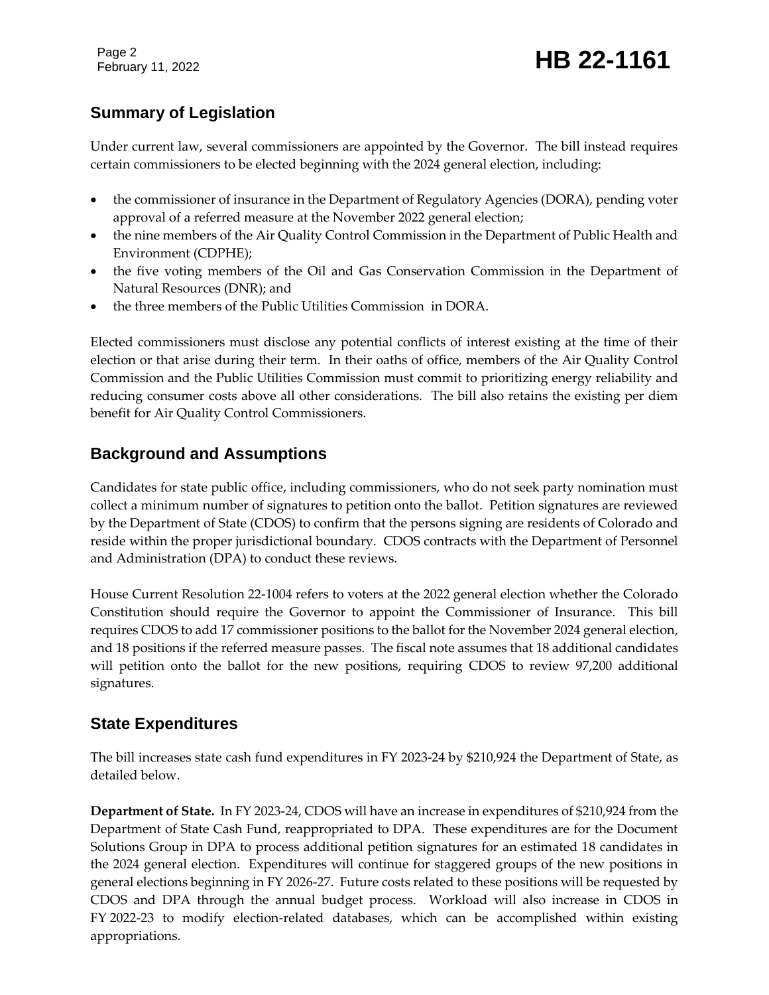Page 2

#### **Summary of Legislation**

Under current law, several commissioners are appointed by the Governor. The bill instead requires certain commissioners to be elected beginning with the 2024 general election, including:

- the commissioner of insurance in the Department of Regulatory Agencies (DORA), pending voter approval of a referred measure at the November 2022 general election;
- the nine members of the Air Quality Control Commission in the Department of Public Health and Environment (CDPHE);
- the five voting members of the Oil and Gas Conservation Commission in the Department of Natural Resources (DNR); and
- the three members of the Public Utilities Commission in DORA.

Elected commissioners must disclose any potential conflicts of interest existing at the time of their election or that arise during their term. In their oaths of office, members of the Air Quality Control Commission and the Public Utilities Commission must commit to prioritizing energy reliability and reducing consumer costs above all other considerations. The bill also retains the existing per diem benefit for Air Quality Control Commissioners.

#### **Background and Assumptions**

Candidates for state public office, including commissioners, who do not seek party nomination must collect a minimum number of signatures to petition onto the ballot. Petition signatures are reviewed by the Department of State (CDOS) to confirm that the persons signing are residents of Colorado and reside within the proper jurisdictional boundary. CDOS contracts with the Department of Personnel and Administration (DPA) to conduct these reviews.

House Current Resolution 22-1004 refers to voters at the 2022 general election whether the Colorado Constitution should require the Governor to appoint the Commissioner of Insurance. This bill requires CDOS to add 17 commissioner positions to the ballot for the November 2024 general election, and 18 positions if the referred measure passes. The fiscal note assumes that 18 additional candidates will petition onto the ballot for the new positions, requiring CDOS to review 97,200 additional signatures.

#### **State Expenditures**

The bill increases state cash fund expenditures in FY 2023-24 by \$210,924 the Department of State, as detailed below.

**Department of State.** In FY 2023-24, CDOS will have an increase in expenditures of \$210,924 from the Department of State Cash Fund, reappropriated to DPA. These expenditures are for the Document Solutions Group in DPA to process additional petition signatures for an estimated 18 candidates in the 2024 general election. Expenditures will continue for staggered groups of the new positions in general elections beginning in FY 2026-27. Future costs related to these positions will be requested by CDOS and DPA through the annual budget process. Workload will also increase in CDOS in FY 2022-23 to modify election-related databases, which can be accomplished within existing appropriations.